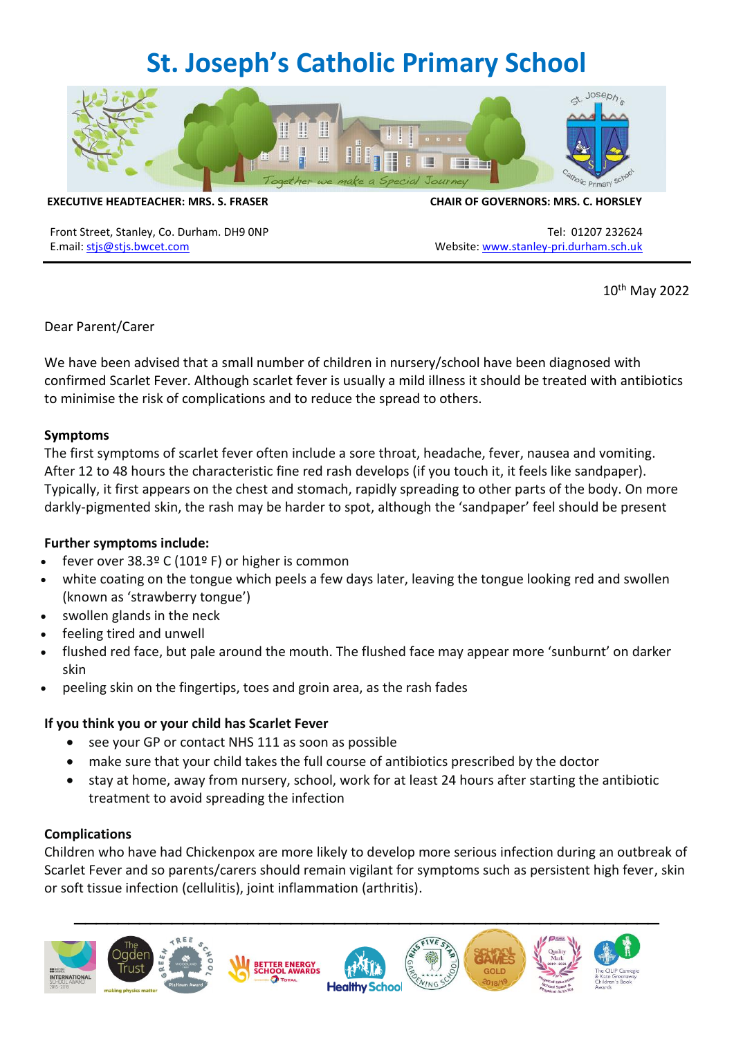# **St. Joseph's Catholic Primary School**



**EXECUTIVE HEADTEACHER: MRS. S. FRASER CHAIR OF GOVERNORS: MRS. C. HORSLEY**

Front Street, Stanley, Co. Durham. DH9 ONP Tel: 01207 232624 E.mail: [stjs@stjs.bwcet.com](mailto:stjs@stjs.bwcet.com) Website[: www.stanley-pri.durham.sch.uk](http://www.stanley-pri.durham.sch.uk/)

10th May 2022

Dear Parent/Carer

We have been advised that a small number of children in nursery/school have been diagnosed with confirmed Scarlet Fever. Although scarlet fever is usually a mild illness it should be treated with antibiotics to minimise the risk of complications and to reduce the spread to others.

#### **Symptoms**

The first symptoms of scarlet fever often include a sore throat, headache, fever, nausea and vomiting. After 12 to 48 hours the characteristic fine red rash develops (if you touch it, it feels like sandpaper). Typically, it first appears on the chest and stomach, rapidly spreading to other parts of the body. On more darkly-pigmented skin, the rash may be harder to spot, although the 'sandpaper' feel should be present

## **Further symptoms include:**

- fever over  $38.3^{\circ}$  C (101° F) or higher is common
- white coating on the tongue which peels a few days later, leaving the tongue looking red and swollen (known as 'strawberry tongue')
- swollen glands in the neck
- feeling tired and unwell
- flushed red face, but pale around the mouth. The flushed face may appear more 'sunburnt' on darker skin
- peeling skin on the fingertips, toes and groin area, as the rash fades

#### **If you think you or your child has Scarlet Fever**

- see your GP or contact NHS 111 as soon as possible
- make sure that your child takes the full course of antibiotics prescribed by the doctor
- stay at home, away from nursery, school, work for at least 24 hours after starting the antibiotic treatment to avoid spreading the infection

## **Complications**

Children who have had Chickenpox are more likely to develop more serious infection during an outbreak of Scarlet Fever and so parents/carers should remain vigilant for symptoms such as persistent high fever, skin or soft tissue infection (cellulitis), joint inflammation (arthritis).